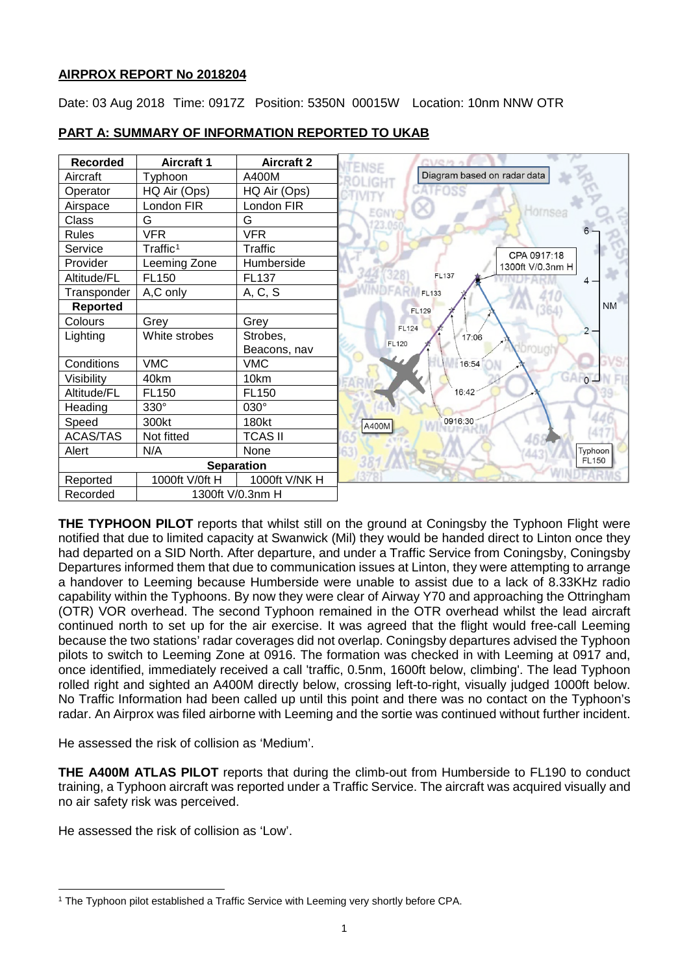## **AIRPROX REPORT No 2018204**

Date: 03 Aug 2018 Time: 0917Z Position: 5350N 00015W Location: 10nm NNW OTR

| <b>Recorded</b>   | <b>Aircraft 1</b>    | <b>Aircraft 2</b> | ENSE                           |
|-------------------|----------------------|-------------------|--------------------------------|
| Aircraft          | Typhoon              | A400M             | Diagram based on radar data    |
| Operator          | HQ Air (Ops)         | HQ Air (Ops)      |                                |
| Airspace          | London FIR           | London FIR        | Hornser                        |
| Class             | G                    | G                 |                                |
| <b>Rules</b>      | <b>VFR</b>           | <b>VFR</b>        |                                |
| Service           | Traffic <sup>1</sup> | <b>Traffic</b>    | CPA 0917:18                    |
| Provider          | Leeming Zone         | Humberside        | 1300ft V/0.3nm H               |
| Altitude/FL       | FL150                | FL137             | <b>FL137</b>                   |
| Transponder       | A,C only             | A, C, S           | <b>FL133</b>                   |
| <b>Reported</b>   |                      |                   | <b>NM</b><br>FL129             |
| Colours           | Grey                 | Grey              | <b>FL124</b>                   |
| Lighting          | White strobes        | Strobes,          | $2 -$<br>17:06<br><b>FL120</b> |
|                   |                      | Beacons, nav      |                                |
| Conditions        | <b>VMC</b>           | <b>VMC</b>        | 16:54                          |
| Visibility        | 40km                 | 10km              | GARTO                          |
| Altitude/FL       | FL <sub>150</sub>    | FL150             | 16:42                          |
| Heading           | 330°                 | 030°              |                                |
| Speed             | 300kt                | 180kt             | 0916:30<br>A400M               |
| <b>ACAS/TAS</b>   | Not fitted           | <b>TCAS II</b>    |                                |
| Alert             | N/A                  | None              | Typhoon                        |
| <b>Separation</b> |                      |                   | <b>FL150</b>                   |
| Reported          | 1000ft V/0ft H       | 1000ft V/NK H     |                                |
| Recorded          | 1300ft V/0.3nm H     |                   |                                |

# **PART A: SUMMARY OF INFORMATION REPORTED TO UKAB**

**THE TYPHOON PILOT** reports that whilst still on the ground at Coningsby the Typhoon Flight were notified that due to limited capacity at Swanwick (Mil) they would be handed direct to Linton once they had departed on a SID North. After departure, and under a Traffic Service from Coningsby, Coningsby Departures informed them that due to communication issues at Linton, they were attempting to arrange a handover to Leeming because Humberside were unable to assist due to a lack of 8.33KHz radio capability within the Typhoons. By now they were clear of Airway Y70 and approaching the Ottringham (OTR) VOR overhead. The second Typhoon remained in the OTR overhead whilst the lead aircraft continued north to set up for the air exercise. It was agreed that the flight would free-call Leeming because the two stations' radar coverages did not overlap. Coningsby departures advised the Typhoon pilots to switch to Leeming Zone at 0916. The formation was checked in with Leeming at 0917 and, once identified, immediately received a call 'traffic, 0.5nm, 1600ft below, climbing'. The lead Typhoon rolled right and sighted an A400M directly below, crossing left-to-right, visually judged 1000ft below. No Traffic Information had been called up until this point and there was no contact on the Typhoon's radar. An Airprox was filed airborne with Leeming and the sortie was continued without further incident.

He assessed the risk of collision as 'Medium'.

**THE A400M ATLAS PILOT** reports that during the climb-out from Humberside to FL190 to conduct training, a Typhoon aircraft was reported under a Traffic Service. The aircraft was acquired visually and no air safety risk was perceived.

He assessed the risk of collision as 'Low'.

 $\overline{\phantom{a}}$ 

<span id="page-0-0"></span><sup>1</sup> The Typhoon pilot established a Traffic Service with Leeming very shortly before CPA.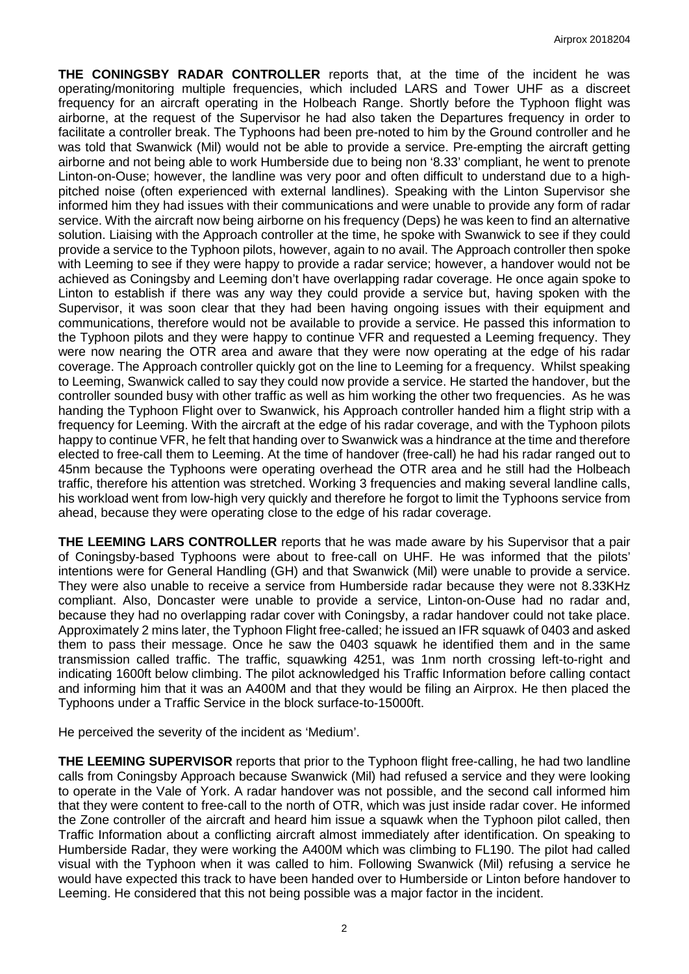**THE CONINGSBY RADAR CONTROLLER** reports that, at the time of the incident he was operating/monitoring multiple frequencies, which included LARS and Tower UHF as a discreet frequency for an aircraft operating in the Holbeach Range. Shortly before the Typhoon flight was airborne, at the request of the Supervisor he had also taken the Departures frequency in order to facilitate a controller break. The Typhoons had been pre-noted to him by the Ground controller and he was told that Swanwick (Mil) would not be able to provide a service. Pre-empting the aircraft getting airborne and not being able to work Humberside due to being non '8.33' compliant, he went to prenote Linton-on-Ouse; however, the landline was very poor and often difficult to understand due to a highpitched noise (often experienced with external landlines). Speaking with the Linton Supervisor she informed him they had issues with their communications and were unable to provide any form of radar service. With the aircraft now being airborne on his frequency (Deps) he was keen to find an alternative solution. Liaising with the Approach controller at the time, he spoke with Swanwick to see if they could provide a service to the Typhoon pilots, however, again to no avail. The Approach controller then spoke with Leeming to see if they were happy to provide a radar service; however, a handover would not be achieved as Coningsby and Leeming don't have overlapping radar coverage. He once again spoke to Linton to establish if there was any way they could provide a service but, having spoken with the Supervisor, it was soon clear that they had been having ongoing issues with their equipment and communications, therefore would not be available to provide a service. He passed this information to the Typhoon pilots and they were happy to continue VFR and requested a Leeming frequency. They were now nearing the OTR area and aware that they were now operating at the edge of his radar coverage. The Approach controller quickly got on the line to Leeming for a frequency. Whilst speaking to Leeming, Swanwick called to say they could now provide a service. He started the handover, but the controller sounded busy with other traffic as well as him working the other two frequencies. As he was handing the Typhoon Flight over to Swanwick, his Approach controller handed him a flight strip with a frequency for Leeming. With the aircraft at the edge of his radar coverage, and with the Typhoon pilots happy to continue VFR, he felt that handing over to Swanwick was a hindrance at the time and therefore elected to free-call them to Leeming. At the time of handover (free-call) he had his radar ranged out to 45nm because the Typhoons were operating overhead the OTR area and he still had the Holbeach traffic, therefore his attention was stretched. Working 3 frequencies and making several landline calls, his workload went from low-high very quickly and therefore he forgot to limit the Typhoons service from ahead, because they were operating close to the edge of his radar coverage.

**THE LEEMING LARS CONTROLLER** reports that he was made aware by his Supervisor that a pair of Coningsby-based Typhoons were about to free-call on UHF. He was informed that the pilots' intentions were for General Handling (GH) and that Swanwick (Mil) were unable to provide a service. They were also unable to receive a service from Humberside radar because they were not 8.33KHz compliant. Also, Doncaster were unable to provide a service, Linton-on-Ouse had no radar and, because they had no overlapping radar cover with Coningsby, a radar handover could not take place. Approximately 2 mins later, the Typhoon Flight free-called; he issued an IFR squawk of 0403 and asked them to pass their message. Once he saw the 0403 squawk he identified them and in the same transmission called traffic. The traffic, squawking 4251, was 1nm north crossing left-to-right and indicating 1600ft below climbing. The pilot acknowledged his Traffic Information before calling contact and informing him that it was an A400M and that they would be filing an Airprox. He then placed the Typhoons under a Traffic Service in the block surface-to-15000ft.

He perceived the severity of the incident as 'Medium'.

**THE LEEMING SUPERVISOR** reports that prior to the Typhoon flight free-calling, he had two landline calls from Coningsby Approach because Swanwick (Mil) had refused a service and they were looking to operate in the Vale of York. A radar handover was not possible, and the second call informed him that they were content to free-call to the north of OTR, which was just inside radar cover. He informed the Zone controller of the aircraft and heard him issue a squawk when the Typhoon pilot called, then Traffic Information about a conflicting aircraft almost immediately after identification. On speaking to Humberside Radar, they were working the A400M which was climbing to FL190. The pilot had called visual with the Typhoon when it was called to him. Following Swanwick (Mil) refusing a service he would have expected this track to have been handed over to Humberside or Linton before handover to Leeming. He considered that this not being possible was a major factor in the incident.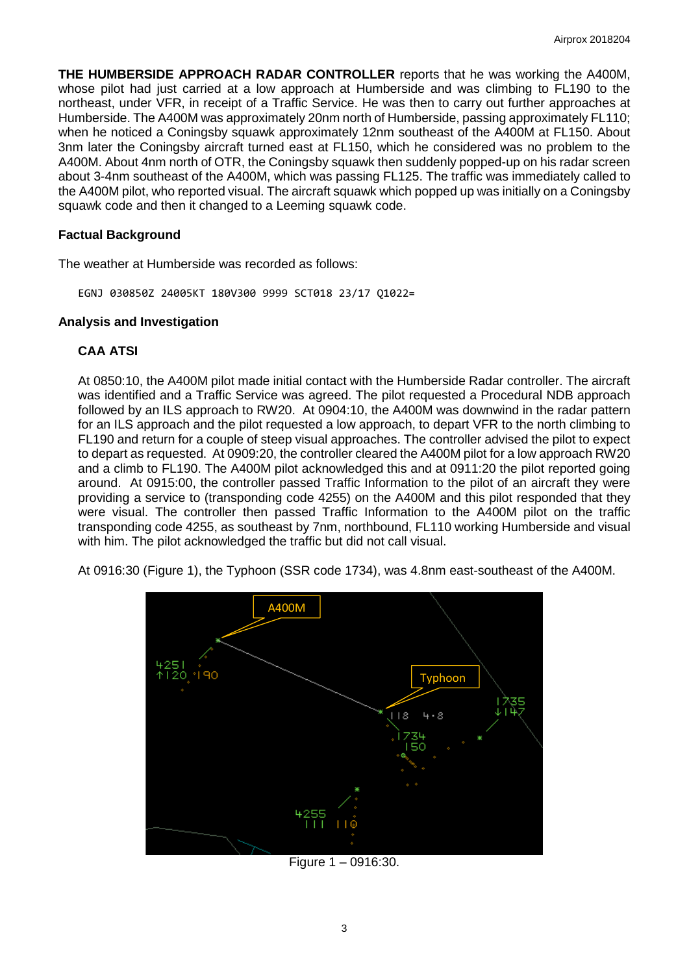**THE HUMBERSIDE APPROACH RADAR CONTROLLER** reports that he was working the A400M, whose pilot had just carried at a low approach at Humberside and was climbing to FL190 to the northeast, under VFR, in receipt of a Traffic Service. He was then to carry out further approaches at Humberside. The A400M was approximately 20nm north of Humberside, passing approximately FL110; when he noticed a Coningsby squawk approximately 12nm southeast of the A400M at FL150. About 3nm later the Coningsby aircraft turned east at FL150, which he considered was no problem to the A400M. About 4nm north of OTR, the Coningsby squawk then suddenly popped-up on his radar screen about 3-4nm southeast of the A400M, which was passing FL125. The traffic was immediately called to the A400M pilot, who reported visual. The aircraft squawk which popped up was initially on a Coningsby squawk code and then it changed to a Leeming squawk code.

### **Factual Background**

The weather at Humberside was recorded as follows:

EGNJ 030850Z 24005KT 180V300 9999 SCT018 23/17 Q1022=

#### **Analysis and Investigation**

### **CAA ATSI**

At 0850:10, the A400M pilot made initial contact with the Humberside Radar controller. The aircraft was identified and a Traffic Service was agreed. The pilot requested a Procedural NDB approach followed by an ILS approach to RW20. At 0904:10, the A400M was downwind in the radar pattern for an ILS approach and the pilot requested a low approach, to depart VFR to the north climbing to FL190 and return for a couple of steep visual approaches. The controller advised the pilot to expect to depart as requested. At 0909:20, the controller cleared the A400M pilot for a low approach RW20 and a climb to FL190. The A400M pilot acknowledged this and at 0911:20 the pilot reported going around. At 0915:00, the controller passed Traffic Information to the pilot of an aircraft they were providing a service to (transponding code 4255) on the A400M and this pilot responded that they were visual. The controller then passed Traffic Information to the A400M pilot on the traffic transponding code 4255, as southeast by 7nm, northbound, FL110 working Humberside and visual with him. The pilot acknowledged the traffic but did not call visual.

At 0916:30 (Figure 1), the Typhoon (SSR code 1734), was 4.8nm east-southeast of the A400M.



Figure 1 – 0916:30.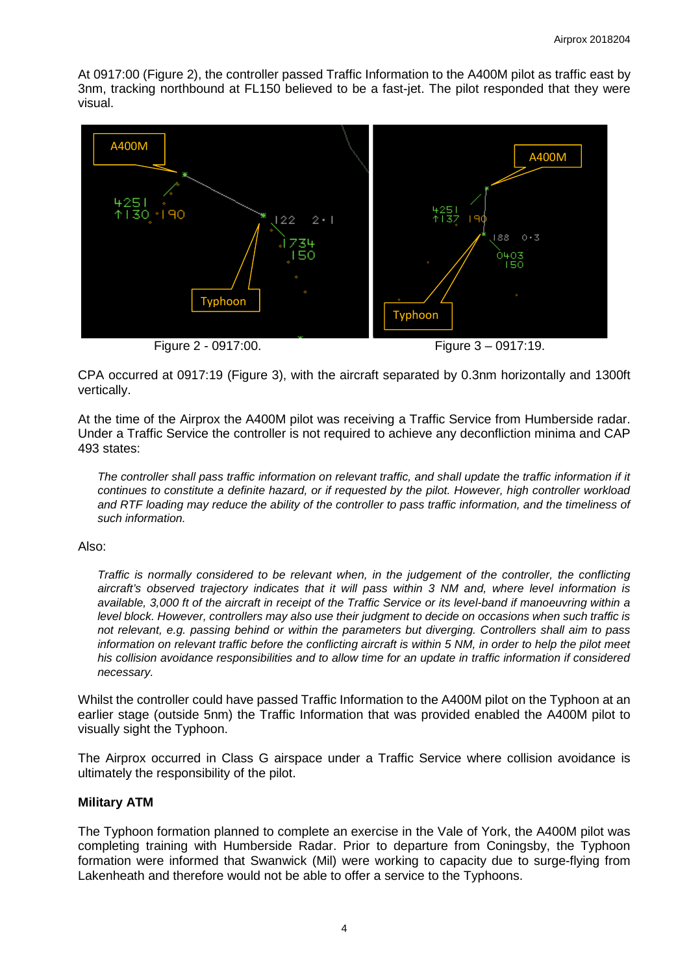At 0917:00 (Figure 2), the controller passed Traffic Information to the A400M pilot as traffic east by 3nm, tracking northbound at FL150 believed to be a fast-jet. The pilot responded that they were visual.



Figure 2 - 0917:00. Figure 3 – 0917:19.

CPA occurred at 0917:19 (Figure 3), with the aircraft separated by 0.3nm horizontally and 1300ft vertically.

At the time of the Airprox the A400M pilot was receiving a Traffic Service from Humberside radar. Under a Traffic Service the controller is not required to achieve any deconfliction minima and CAP 493 states:

*The controller shall pass traffic information on relevant traffic, and shall update the traffic information if it continues to constitute a definite hazard, or if requested by the pilot. However, high controller workload and RTF loading may reduce the ability of the controller to pass traffic information, and the timeliness of such information.*

#### Also:

*Traffic is normally considered to be relevant when, in the judgement of the controller, the conflicting aircraft's observed trajectory indicates that it will pass within 3 NM and, where level information is available, 3,000 ft of the aircraft in receipt of the Traffic Service or its level-band if manoeuvring within a level block. However, controllers may also use their judgment to decide on occasions when such traffic is not relevant, e.g. passing behind or within the parameters but diverging. Controllers shall aim to pass information on relevant traffic before the conflicting aircraft is within 5 NM, in order to help the pilot meet his collision avoidance responsibilities and to allow time for an update in traffic information if considered necessary.*

Whilst the controller could have passed Traffic Information to the A400M pilot on the Typhoon at an earlier stage (outside 5nm) the Traffic Information that was provided enabled the A400M pilot to visually sight the Typhoon.

The Airprox occurred in Class G airspace under a Traffic Service where collision avoidance is ultimately the responsibility of the pilot.

## **Military ATM**

The Typhoon formation planned to complete an exercise in the Vale of York, the A400M pilot was completing training with Humberside Radar. Prior to departure from Coningsby, the Typhoon formation were informed that Swanwick (Mil) were working to capacity due to surge-flying from Lakenheath and therefore would not be able to offer a service to the Typhoons.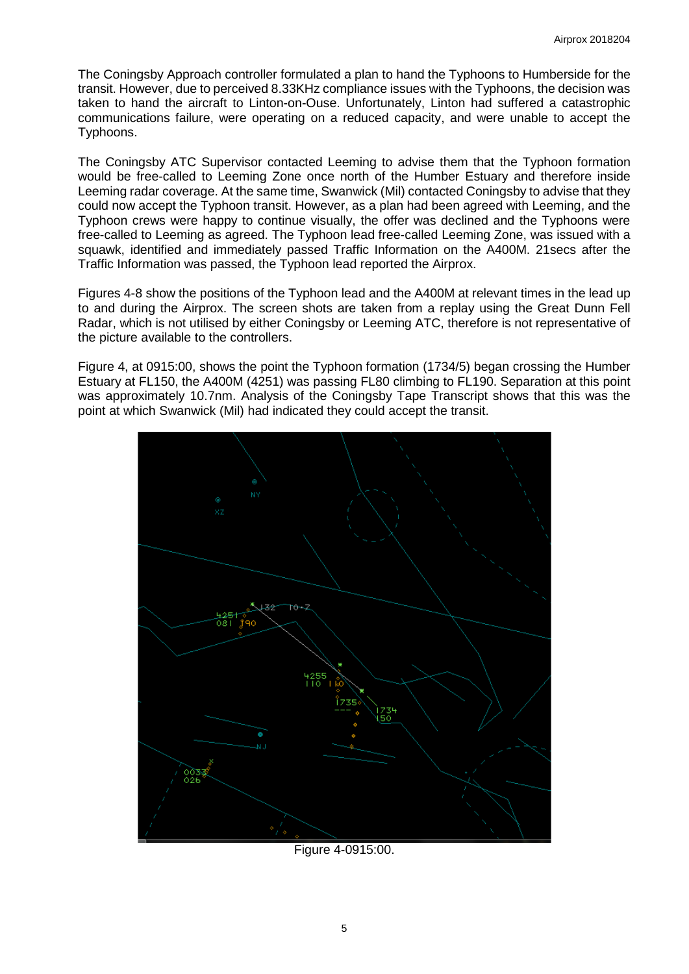The Coningsby Approach controller formulated a plan to hand the Typhoons to Humberside for the transit. However, due to perceived 8.33KHz compliance issues with the Typhoons, the decision was taken to hand the aircraft to Linton-on-Ouse. Unfortunately, Linton had suffered a catastrophic communications failure, were operating on a reduced capacity, and were unable to accept the Typhoons.

The Coningsby ATC Supervisor contacted Leeming to advise them that the Typhoon formation would be free-called to Leeming Zone once north of the Humber Estuary and therefore inside Leeming radar coverage. At the same time, Swanwick (Mil) contacted Coningsby to advise that they could now accept the Typhoon transit. However, as a plan had been agreed with Leeming, and the Typhoon crews were happy to continue visually, the offer was declined and the Typhoons were free-called to Leeming as agreed. The Typhoon lead free-called Leeming Zone, was issued with a squawk, identified and immediately passed Traffic Information on the A400M. 21secs after the Traffic Information was passed, the Typhoon lead reported the Airprox.

Figures 4-8 show the positions of the Typhoon lead and the A400M at relevant times in the lead up to and during the Airprox. The screen shots are taken from a replay using the Great Dunn Fell Radar, which is not utilised by either Coningsby or Leeming ATC, therefore is not representative of the picture available to the controllers.

Figure 4, at 0915:00, shows the point the Typhoon formation (1734/5) began crossing the Humber Estuary at FL150, the A400M (4251) was passing FL80 climbing to FL190. Separation at this point was approximately 10.7nm. Analysis of the Coningsby Tape Transcript shows that this was the point at which Swanwick (Mil) had indicated they could accept the transit.



Figure 4-0915:00.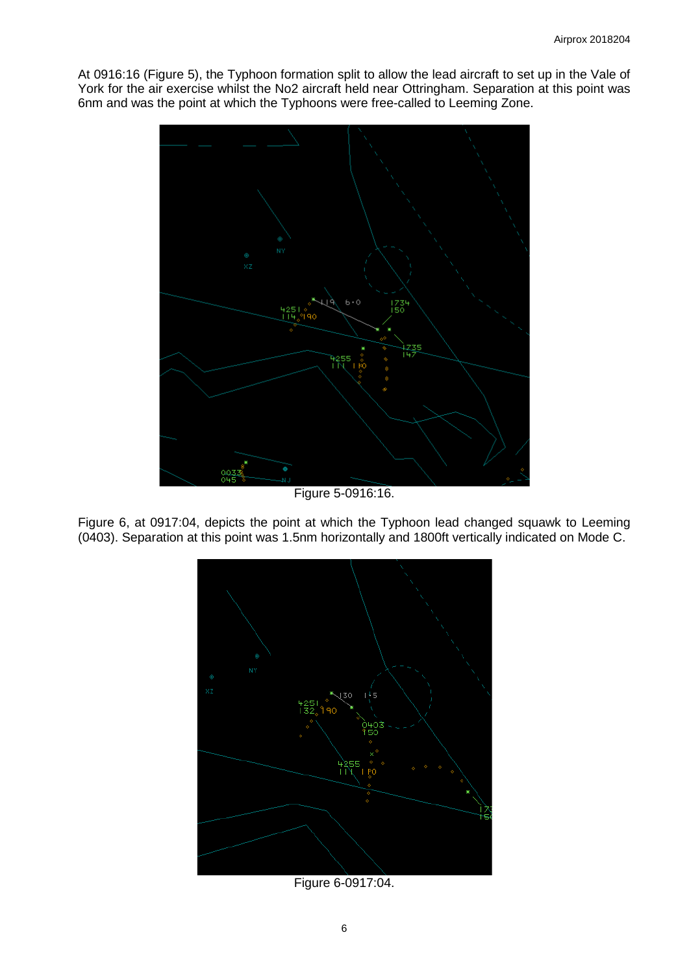At 0916:16 (Figure 5), the Typhoon formation split to allow the lead aircraft to set up in the Vale of York for the air exercise whilst the No2 aircraft held near Ottringham. Separation at this point was 6nm and was the point at which the Typhoons were free-called to Leeming Zone.



Figure 5-0916:16.

Figure 6, at 0917:04, depicts the point at which the Typhoon lead changed squawk to Leeming (0403). Separation at this point was 1.5nm horizontally and 1800ft vertically indicated on Mode C.



Figure 6-0917:04.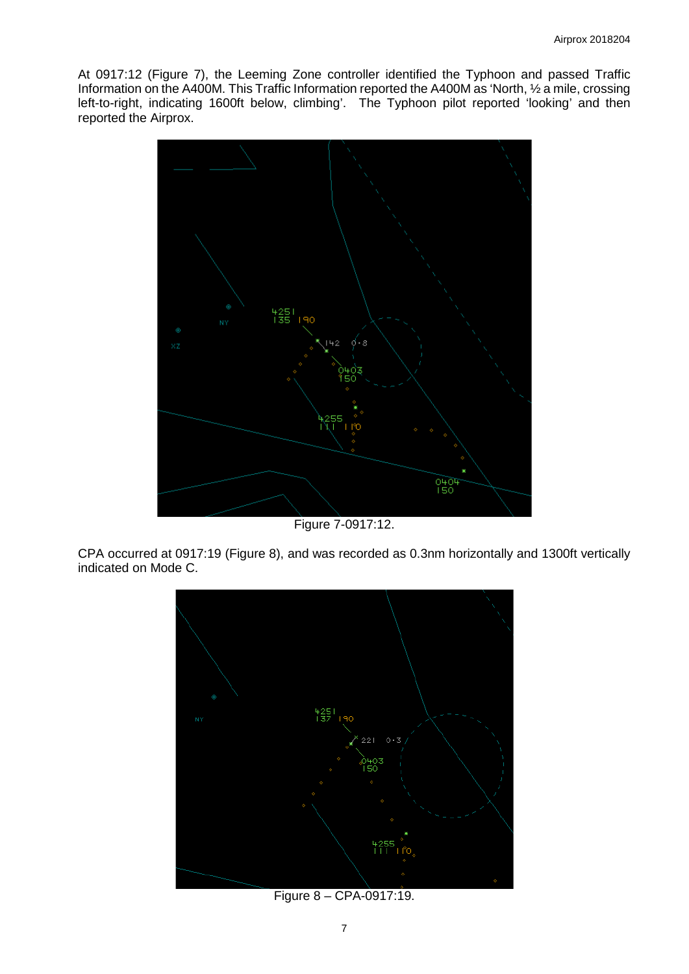At 0917:12 (Figure 7), the Leeming Zone controller identified the Typhoon and passed Traffic Information on the A400M. This Traffic Information reported the A400M as 'North, ½ a mile, crossing left-to-right, indicating 1600ft below, climbing'. The Typhoon pilot reported 'looking' and then reported the Airprox.



Figure 7-0917:12.

CPA occurred at 0917:19 (Figure 8), and was recorded as 0.3nm horizontally and 1300ft vertically indicated on Mode C.



Figure 8 – CPA-0917:19.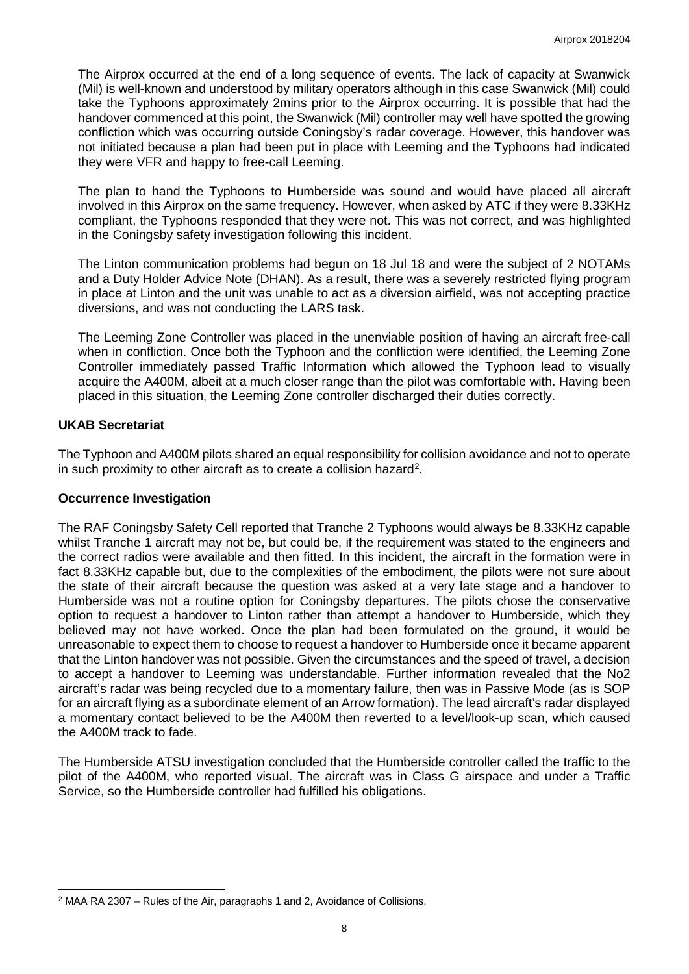The Airprox occurred at the end of a long sequence of events. The lack of capacity at Swanwick (Mil) is well-known and understood by military operators although in this case Swanwick (Mil) could take the Typhoons approximately 2mins prior to the Airprox occurring. It is possible that had the handover commenced at this point, the Swanwick (Mil) controller may well have spotted the growing confliction which was occurring outside Coningsby's radar coverage. However, this handover was not initiated because a plan had been put in place with Leeming and the Typhoons had indicated they were VFR and happy to free-call Leeming.

The plan to hand the Typhoons to Humberside was sound and would have placed all aircraft involved in this Airprox on the same frequency. However, when asked by ATC if they were 8.33KHz compliant, the Typhoons responded that they were not. This was not correct, and was highlighted in the Coningsby safety investigation following this incident.

The Linton communication problems had begun on 18 Jul 18 and were the subject of 2 NOTAMs and a Duty Holder Advice Note (DHAN). As a result, there was a severely restricted flying program in place at Linton and the unit was unable to act as a diversion airfield, was not accepting practice diversions, and was not conducting the LARS task.

The Leeming Zone Controller was placed in the unenviable position of having an aircraft free-call when in confliction. Once both the Typhoon and the confliction were identified, the Leeming Zone Controller immediately passed Traffic Information which allowed the Typhoon lead to visually acquire the A400M, albeit at a much closer range than the pilot was comfortable with. Having been placed in this situation, the Leeming Zone controller discharged their duties correctly.

### **UKAB Secretariat**

 $\overline{\phantom{a}}$ 

The Typhoon and A400M pilots shared an equal responsibility for collision avoidance and not to operate in such proximity to other aircraft as to create a collision hazard<sup>[2](#page-7-0)</sup>.

#### **Occurrence Investigation**

The RAF Coningsby Safety Cell reported that Tranche 2 Typhoons would always be 8.33KHz capable whilst Tranche 1 aircraft may not be, but could be, if the requirement was stated to the engineers and the correct radios were available and then fitted. In this incident, the aircraft in the formation were in fact 8.33KHz capable but, due to the complexities of the embodiment, the pilots were not sure about the state of their aircraft because the question was asked at a very late stage and a handover to Humberside was not a routine option for Coningsby departures. The pilots chose the conservative option to request a handover to Linton rather than attempt a handover to Humberside, which they believed may not have worked. Once the plan had been formulated on the ground, it would be unreasonable to expect them to choose to request a handover to Humberside once it became apparent that the Linton handover was not possible. Given the circumstances and the speed of travel, a decision to accept a handover to Leeming was understandable. Further information revealed that the No2 aircraft's radar was being recycled due to a momentary failure, then was in Passive Mode (as is SOP for an aircraft flying as a subordinate element of an Arrow formation). The lead aircraft's radar displayed a momentary contact believed to be the A400M then reverted to a level/look-up scan, which caused the A400M track to fade.

The Humberside ATSU investigation concluded that the Humberside controller called the traffic to the pilot of the A400M, who reported visual. The aircraft was in Class G airspace and under a Traffic Service, so the Humberside controller had fulfilled his obligations.

<span id="page-7-0"></span><sup>2</sup> MAA RA 2307 – Rules of the Air, paragraphs 1 and 2, Avoidance of Collisions.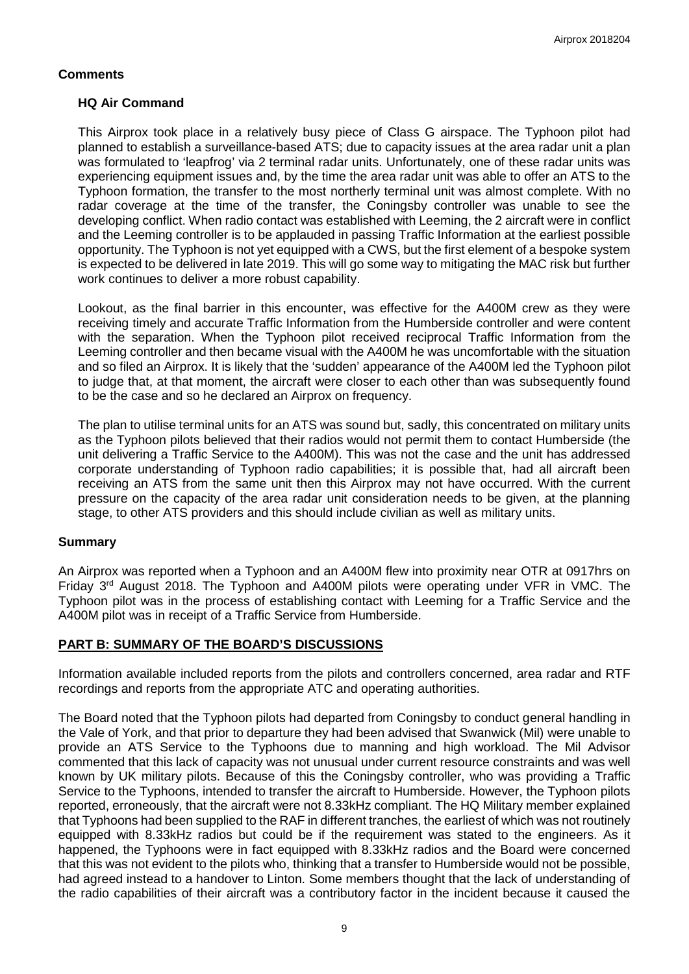## **Comments**

## **HQ Air Command**

This Airprox took place in a relatively busy piece of Class G airspace. The Typhoon pilot had planned to establish a surveillance-based ATS; due to capacity issues at the area radar unit a plan was formulated to 'leapfrog' via 2 terminal radar units. Unfortunately, one of these radar units was experiencing equipment issues and, by the time the area radar unit was able to offer an ATS to the Typhoon formation, the transfer to the most northerly terminal unit was almost complete. With no radar coverage at the time of the transfer, the Coningsby controller was unable to see the developing conflict. When radio contact was established with Leeming, the 2 aircraft were in conflict and the Leeming controller is to be applauded in passing Traffic Information at the earliest possible opportunity. The Typhoon is not yet equipped with a CWS, but the first element of a bespoke system is expected to be delivered in late 2019. This will go some way to mitigating the MAC risk but further work continues to deliver a more robust capability.

Lookout, as the final barrier in this encounter, was effective for the A400M crew as they were receiving timely and accurate Traffic Information from the Humberside controller and were content with the separation. When the Typhoon pilot received reciprocal Traffic Information from the Leeming controller and then became visual with the A400M he was uncomfortable with the situation and so filed an Airprox. It is likely that the 'sudden' appearance of the A400M led the Typhoon pilot to judge that, at that moment, the aircraft were closer to each other than was subsequently found to be the case and so he declared an Airprox on frequency.

The plan to utilise terminal units for an ATS was sound but, sadly, this concentrated on military units as the Typhoon pilots believed that their radios would not permit them to contact Humberside (the unit delivering a Traffic Service to the A400M). This was not the case and the unit has addressed corporate understanding of Typhoon radio capabilities; it is possible that, had all aircraft been receiving an ATS from the same unit then this Airprox may not have occurred. With the current pressure on the capacity of the area radar unit consideration needs to be given, at the planning stage, to other ATS providers and this should include civilian as well as military units.

## **Summary**

An Airprox was reported when a Typhoon and an A400M flew into proximity near OTR at 0917hrs on Friday 3rd August 2018. The Typhoon and A400M pilots were operating under VFR in VMC. The Typhoon pilot was in the process of establishing contact with Leeming for a Traffic Service and the A400M pilot was in receipt of a Traffic Service from Humberside.

## **PART B: SUMMARY OF THE BOARD'S DISCUSSIONS**

Information available included reports from the pilots and controllers concerned, area radar and RTF recordings and reports from the appropriate ATC and operating authorities.

The Board noted that the Typhoon pilots had departed from Coningsby to conduct general handling in the Vale of York, and that prior to departure they had been advised that Swanwick (Mil) were unable to provide an ATS Service to the Typhoons due to manning and high workload. The Mil Advisor commented that this lack of capacity was not unusual under current resource constraints and was well known by UK military pilots. Because of this the Coningsby controller, who was providing a Traffic Service to the Typhoons, intended to transfer the aircraft to Humberside. However, the Typhoon pilots reported, erroneously, that the aircraft were not 8.33kHz compliant. The HQ Military member explained that Typhoons had been supplied to the RAF in different tranches, the earliest of which was not routinely equipped with 8.33kHz radios but could be if the requirement was stated to the engineers. As it happened, the Typhoons were in fact equipped with 8.33kHz radios and the Board were concerned that this was not evident to the pilots who, thinking that a transfer to Humberside would not be possible, had agreed instead to a handover to Linton. Some members thought that the lack of understanding of the radio capabilities of their aircraft was a contributory factor in the incident because it caused the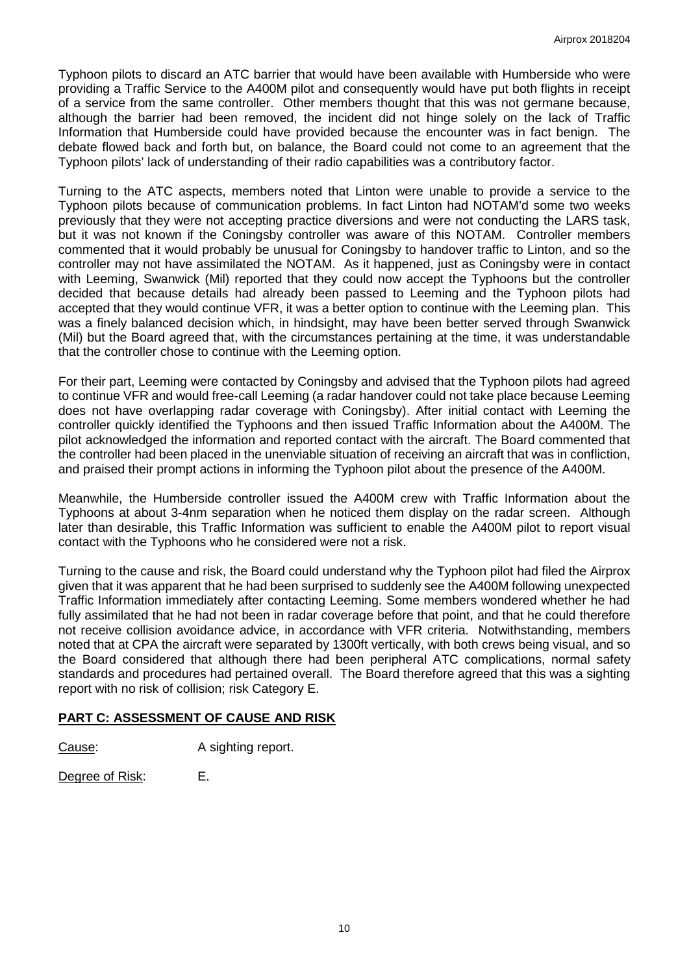Typhoon pilots to discard an ATC barrier that would have been available with Humberside who were providing a Traffic Service to the A400M pilot and consequently would have put both flights in receipt of a service from the same controller. Other members thought that this was not germane because, although the barrier had been removed, the incident did not hinge solely on the lack of Traffic Information that Humberside could have provided because the encounter was in fact benign. The debate flowed back and forth but, on balance, the Board could not come to an agreement that the Typhoon pilots' lack of understanding of their radio capabilities was a contributory factor.

Turning to the ATC aspects, members noted that Linton were unable to provide a service to the Typhoon pilots because of communication problems. In fact Linton had NOTAM'd some two weeks previously that they were not accepting practice diversions and were not conducting the LARS task, but it was not known if the Coningsby controller was aware of this NOTAM. Controller members commented that it would probably be unusual for Coningsby to handover traffic to Linton, and so the controller may not have assimilated the NOTAM. As it happened, just as Coningsby were in contact with Leeming, Swanwick (Mil) reported that they could now accept the Typhoons but the controller decided that because details had already been passed to Leeming and the Typhoon pilots had accepted that they would continue VFR, it was a better option to continue with the Leeming plan. This was a finely balanced decision which, in hindsight, may have been better served through Swanwick (Mil) but the Board agreed that, with the circumstances pertaining at the time, it was understandable that the controller chose to continue with the Leeming option.

For their part, Leeming were contacted by Coningsby and advised that the Typhoon pilots had agreed to continue VFR and would free-call Leeming (a radar handover could not take place because Leeming does not have overlapping radar coverage with Coningsby). After initial contact with Leeming the controller quickly identified the Typhoons and then issued Traffic Information about the A400M. The pilot acknowledged the information and reported contact with the aircraft. The Board commented that the controller had been placed in the unenviable situation of receiving an aircraft that was in confliction, and praised their prompt actions in informing the Typhoon pilot about the presence of the A400M.

Meanwhile, the Humberside controller issued the A400M crew with Traffic Information about the Typhoons at about 3-4nm separation when he noticed them display on the radar screen. Although later than desirable, this Traffic Information was sufficient to enable the A400M pilot to report visual contact with the Typhoons who he considered were not a risk.

Turning to the cause and risk, the Board could understand why the Typhoon pilot had filed the Airprox given that it was apparent that he had been surprised to suddenly see the A400M following unexpected Traffic Information immediately after contacting Leeming. Some members wondered whether he had fully assimilated that he had not been in radar coverage before that point, and that he could therefore not receive collision avoidance advice, in accordance with VFR criteria. Notwithstanding, members noted that at CPA the aircraft were separated by 1300ft vertically, with both crews being visual, and so the Board considered that although there had been peripheral ATC complications, normal safety standards and procedures had pertained overall. The Board therefore agreed that this was a sighting report with no risk of collision; risk Category E.

## **PART C: ASSESSMENT OF CAUSE AND RISK**

Cause: A sighting report.

Degree of Risk: E.